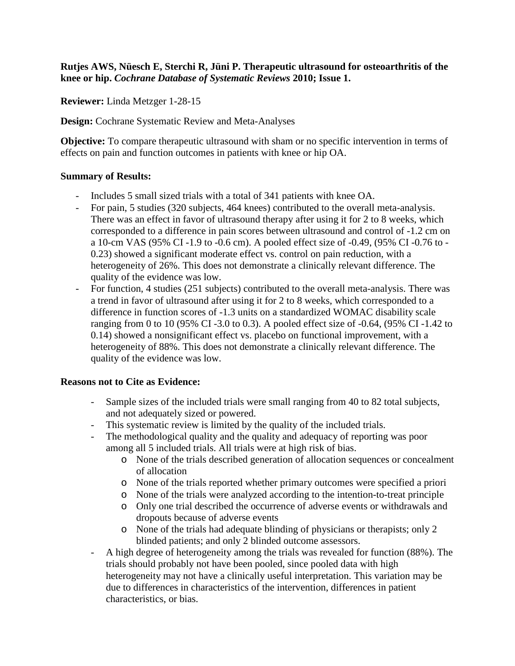## **Rutjes AWS, Nüesch E, Sterchi R, Jüni P. Therapeutic ultrasound for osteoarthritis of the knee or hip.** *Cochrane Database of Systematic Reviews* **2010; Issue 1.**

**Reviewer:** Linda Metzger 1-28-15

**Design:** Cochrane Systematic Review and Meta-Analyses

**Objective:** To compare therapeutic ultrasound with sham or no specific intervention in terms of effects on pain and function outcomes in patients with knee or hip OA.

## **Summary of Results:**

- Includes 5 small sized trials with a total of 341 patients with knee OA.
- For pain, 5 studies (320 subjects, 464 knees) contributed to the overall meta-analysis. There was an effect in favor of ultrasound therapy after using it for 2 to 8 weeks, which corresponded to a difference in pain scores between ultrasound and control of -1.2 cm on a 10-cm VAS (95% CI -1.9 to -0.6 cm). A pooled effect size of -0.49, (95% CI -0.76 to - 0.23) showed a significant moderate effect vs. control on pain reduction, with a heterogeneity of 26%. This does not demonstrate a clinically relevant difference. The quality of the evidence was low.
- For function, 4 studies (251 subjects) contributed to the overall meta-analysis. There was a trend in favor of ultrasound after using it for 2 to 8 weeks, which corresponded to a difference in function scores of -1.3 units on a standardized WOMAC disability scale ranging from 0 to 10 (95% CI -3.0 to 0.3). A pooled effect size of -0.64, (95% CI -1.42 to 0.14) showed a nonsignificant effect vs. placebo on functional improvement, with a heterogeneity of 88%. This does not demonstrate a clinically relevant difference. The quality of the evidence was low.

## **Reasons not to Cite as Evidence:**

- Sample sizes of the included trials were small ranging from 40 to 82 total subjects, and not adequately sized or powered.
- This systematic review is limited by the quality of the included trials.
- The methodological quality and the quality and adequacy of reporting was poor among all 5 included trials. All trials were at high risk of bias.
	- o None of the trials described generation of allocation sequences or concealment of allocation
	- o None of the trials reported whether primary outcomes were specified a priori
	- o None of the trials were analyzed according to the intention-to-treat principle
	- o Only one trial described the occurrence of adverse events or withdrawals and dropouts because of adverse events
	- o None of the trials had adequate blinding of physicians or therapists; only 2 blinded patients; and only 2 blinded outcome assessors.
- A high degree of heterogeneity among the trials was revealed for function (88%). The trials should probably not have been pooled, since pooled data with high heterogeneity may not have a clinically useful interpretation. This variation may be due to differences in characteristics of the intervention, differences in patient characteristics, or bias.